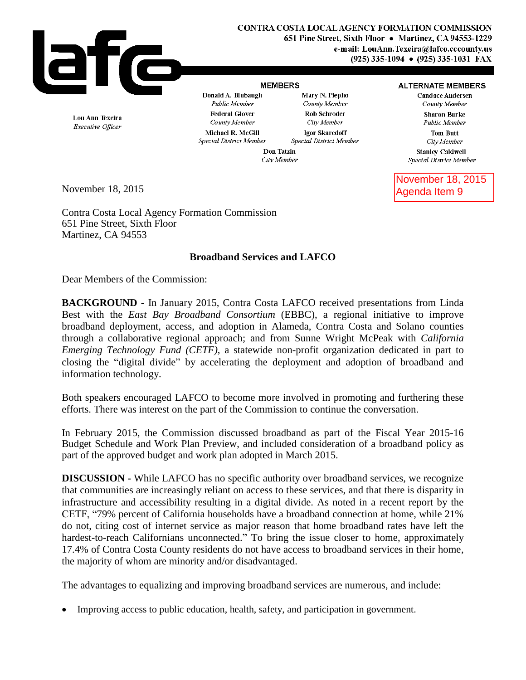

## **MEMBERS**

Mary N. Piepho

## **ALTERNATE MEMBERS Candace Andersen**

County Member **Sharon Burke** Public Member

> **Tom Butt** City Member

**Stanley Caldwell** Special District Member

November 18, 2015 Agenda Item 9

Lou Ann Texeira Executive Officer

Public Member **Federal Glover** County Member Michael R. McGill Special District Member

Donald A. Blubaugh

County Member Rob Schroder City Member Igor Skaredoff Special District Member

Don Tatzin City Member

November 18, 2015

Contra Costa Local Agency Formation Commission 651 Pine Street, Sixth Floor Martinez, CA 94553

## **Broadband Services and LAFCO**

Dear Members of the Commission:

**BACKGROUND -** In January 2015, Contra Costa LAFCO received presentations from Linda Best with the *East Bay Broadband Consortium* (EBBC), a regional initiative to improve broadband deployment, access, and adoption in Alameda, Contra Costa and Solano counties through a collaborative regional approach; and from Sunne Wright McPeak with *California Emerging Technology Fund (CETF)*, a statewide non-profit organization dedicated in part to closing the "digital divide" by accelerating the deployment and adoption of broadband and information technology.

Both speakers encouraged LAFCO to become more involved in promoting and furthering these efforts. There was interest on the part of the Commission to continue the conversation.

In February 2015, the Commission discussed broadband as part of the Fiscal Year 2015-16 Budget Schedule and Work Plan Preview, and included consideration of a broadband policy as part of the approved budget and work plan adopted in March 2015.

**DISCUSSION -** While LAFCO has no specific authority over broadband services, we recognize that communities are increasingly reliant on access to these services, and that there is disparity in infrastructure and accessibility resulting in a digital divide. As noted in a recent report by the CETF, "79% percent of California households have a broadband connection at home, while 21% do not, citing cost of internet service as major reason that home broadband rates have left the hardest-to-reach Californians unconnected." To bring the issue closer to home, approximately 17.4% of Contra Costa County residents do not have access to broadband services in their home, the majority of whom are minority and/or disadvantaged.

The advantages to equalizing and improving broadband services are numerous, and include:

Improving access to public education, health, safety, and participation in government.